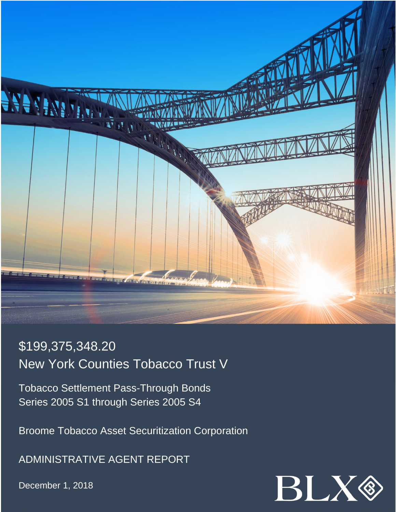

# \$199,375,348.20 New York Counties Tobacco Trust V

Tobacco Settlement Pass-Through Bonds Series 2005 S1 through Series 2005 S4

Broome Tobacco Asset Securitization Corporation

ADMINISTRATIVE AGENT REPORT

December 1, 2018

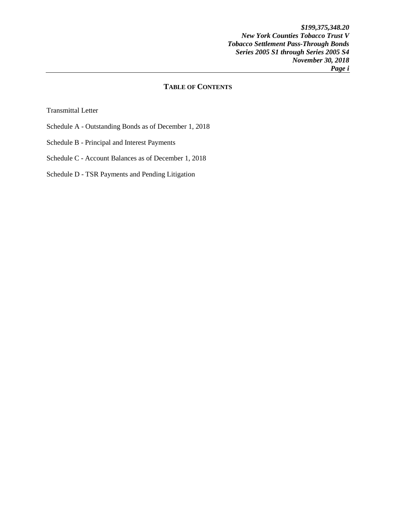*\$199,375,348.20 New York Counties Tobacco Trust V Tobacco Settlement Pass-Through Bonds Series 2005 S1 through Series 2005 S4 November 30, 2018 Page i* 

## **TABLE OF CONTENTS**

Transmittal Letter

- Schedule A Outstanding Bonds as of December 1, 2018
- Schedule B Principal and Interest Payments
- Schedule C Account Balances as of December 1, 2018

Schedule D - TSR Payments and Pending Litigation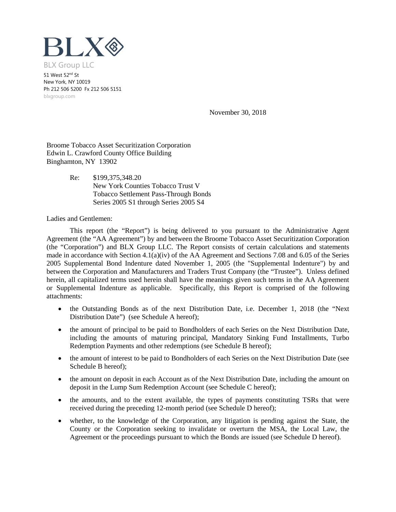

51 West 52<sup>nd</sup> St New York, NY 10019 Ph 212 506 5200 Fx 212 506 5151 blxgroup.com

November 30, 2018

Broome Tobacco Asset Securitization Corporation Edwin L. Crawford County Office Building Binghamton, NY 13902

> Re: \$199,375,348.20 New York Counties Tobacco Trust V Tobacco Settlement Pass-Through Bonds Series 2005 S1 through Series 2005 S4

Ladies and Gentlemen:

This report (the "Report") is being delivered to you pursuant to the Administrative Agent Agreement (the "AA Agreement") by and between the Broome Tobacco Asset Securitization Corporation (the "Corporation") and BLX Group LLC. The Report consists of certain calculations and statements made in accordance with Section 4.1(a)(iv) of the AA Agreement and Sections 7.08 and 6.05 of the Series 2005 Supplemental Bond Indenture dated November 1, 2005 (the "Supplemental Indenture") by and between the Corporation and Manufacturers and Traders Trust Company (the "Trustee"). Unless defined herein, all capitalized terms used herein shall have the meanings given such terms in the AA Agreement or Supplemental Indenture as applicable. Specifically, this Report is comprised of the following attachments:

- the Outstanding Bonds as of the next Distribution Date, i.e. December 1, 2018 (the "Next Distribution Date") (see Schedule A hereof);
- the amount of principal to be paid to Bondholders of each Series on the Next Distribution Date, including the amounts of maturing principal, Mandatory Sinking Fund Installments, Turbo Redemption Payments and other redemptions (see Schedule B hereof);
- the amount of interest to be paid to Bondholders of each Series on the Next Distribution Date (see Schedule B hereof);
- the amount on deposit in each Account as of the Next Distribution Date, including the amount on deposit in the Lump Sum Redemption Account (see Schedule C hereof);
- the amounts, and to the extent available, the types of payments constituting TSRs that were received during the preceding 12-month period (see Schedule D hereof);
- whether, to the knowledge of the Corporation, any litigation is pending against the State, the County or the Corporation seeking to invalidate or overturn the MSA, the Local Law, the Agreement or the proceedings pursuant to which the Bonds are issued (see Schedule D hereof).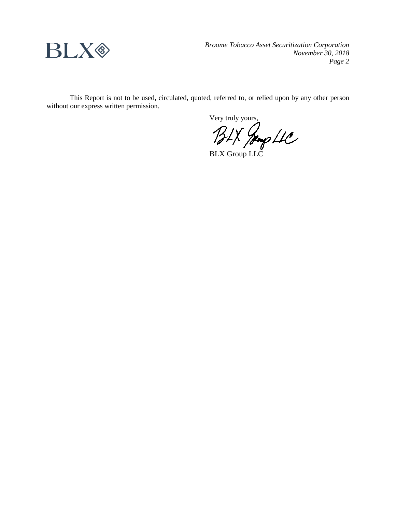

*Broome Tobacco Asset Securitization Corporation November 30, 2018 Page 2*

This Report is not to be used, circulated, quoted, referred to, or relied upon by any other person without our express written permission.

Very truly yours,

BLX Jeong LLC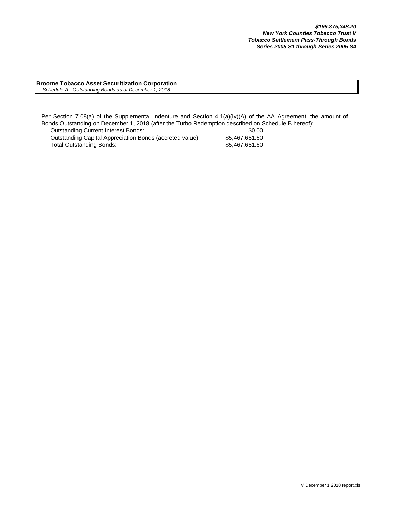**Broome Tobacco Asset Securitization Corporation**  *Schedule A - Outstanding Bonds as of December 1, 2018*

Outstanding Current Interest Bonds: \$0.00 Per Section 7.08(a) of the Supplemental Indenture and Section 4.1(a)(iv)(A) of the AA Agreement, the amount of Bonds Outstanding on December 1, 2018 (after the Turbo Redemption described on Schedule B hereof):

Outstanding Capital Appreciation Bonds (accreted value): \$5,467,681.60<br>Total Outstanding Bonds: \$5,467,681.60 Total Outstanding Bonds: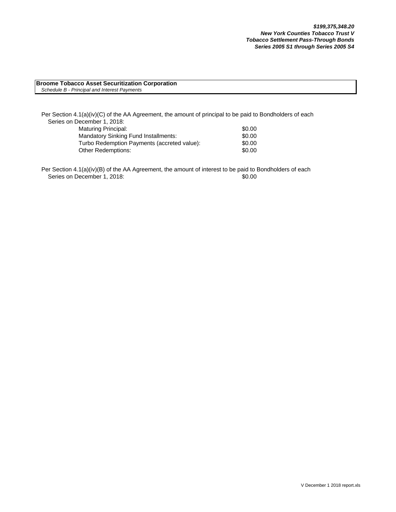#### **Broome Tobacco Asset Securitization Corporation** *Schedule B - Principal and Interest Payments*

Per Section 4.1(a)(iv)(C) of the AA Agreement, the amount of principal to be paid to Bondholders of each Series on December 1, 2018: Maturing Principal: \$0.00

| <b>Mandatory Sinking Fund Installments:</b> | \$0.00 |
|---------------------------------------------|--------|
| Turbo Redemption Payments (accreted value): | \$0.00 |
| <b>Other Redemptions:</b>                   | \$0.00 |

Per Section 4.1(a)(iv)(B) of the AA Agreement, the amount of interest to be paid to Bondholders of each Series on December 1, 2018: \$0.00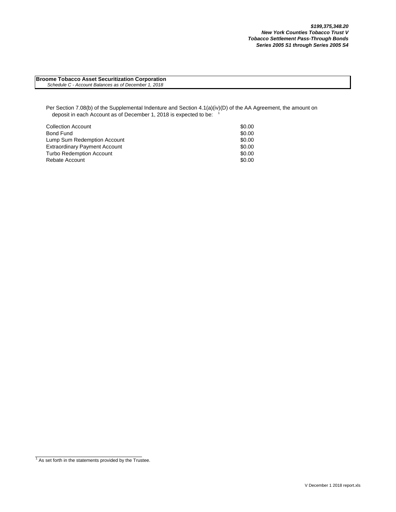**Broome Tobacco Asset Securitization Corporation**  *Schedule C - Account Balances as of December 1, 2018*

Per Section 7.08(b) of the Supplemental Indenture and Section 4.1(a)(iv)(D) of the AA Agreement, the amount on deposit in each Account as of December 1, 2018 is expected to be:

| <b>Collection Account</b>            | \$0.00 |
|--------------------------------------|--------|
| Bond Fund                            | \$0.00 |
| Lump Sum Redemption Account          | \$0.00 |
| <b>Extraordinary Payment Account</b> | \$0.00 |
| <b>Turbo Redemption Account</b>      | \$0.00 |
| Rebate Account                       | \$0.00 |

 $1$  As set forth in the statements provided by the Trustee.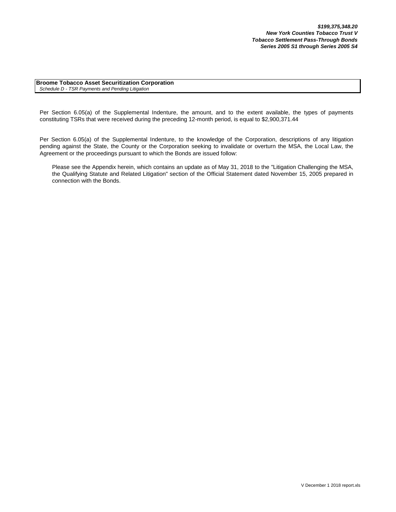**Broome Tobacco Asset Securitization Corporation** *Schedule D - TSR Payments and Pending Litigation*

Per Section 6.05(a) of the Supplemental Indenture, the amount, and to the extent available, the types of payments constituting TSRs that were received during the preceding 12-month period, is equal to \$2,900,371.44

Per Section 6.05(a) of the Supplemental Indenture, to the knowledge of the Corporation, descriptions of any litigation pending against the State, the County or the Corporation seeking to invalidate or overturn the MSA, the Local Law, the Agreement or the proceedings pursuant to which the Bonds are issued follow:

Please see the Appendix herein, which contains an update as of May 31, 2018 to the "Litigation Challenging the MSA, the Qualifying Statute and Related Litigation" section of the Official Statement dated November 15, 2005 prepared in connection with the Bonds.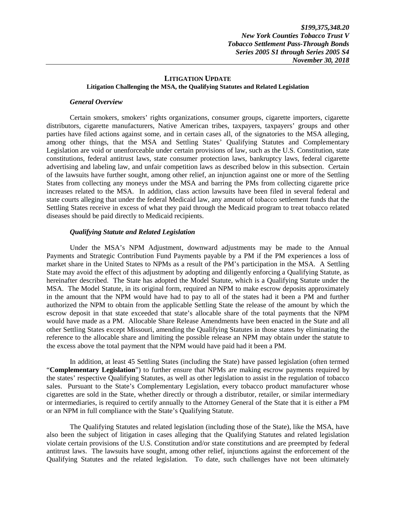#### **LITIGATION UPDATE Litigation Challenging the MSA, the Qualifying Statutes and Related Legislation**

#### *General Overview*

Certain smokers, smokers' rights organizations, consumer groups, cigarette importers, cigarette distributors, cigarette manufacturers, Native American tribes, taxpayers, taxpayers' groups and other parties have filed actions against some, and in certain cases all, of the signatories to the MSA alleging, among other things, that the MSA and Settling States' Qualifying Statutes and Complementary Legislation are void or unenforceable under certain provisions of law, such as the U.S. Constitution, state constitutions, federal antitrust laws, state consumer protection laws, bankruptcy laws, federal cigarette advertising and labeling law, and unfair competition laws as described below in this subsection. Certain of the lawsuits have further sought, among other relief, an injunction against one or more of the Settling States from collecting any moneys under the MSA and barring the PMs from collecting cigarette price increases related to the MSA. In addition, class action lawsuits have been filed in several federal and state courts alleging that under the federal Medicaid law, any amount of tobacco settlement funds that the Settling States receive in excess of what they paid through the Medicaid program to treat tobacco related diseases should be paid directly to Medicaid recipients.

### *Qualifying Statute and Related Legislation*

Under the MSA's NPM Adjustment, downward adjustments may be made to the Annual Payments and Strategic Contribution Fund Payments payable by a PM if the PM experiences a loss of market share in the United States to NPMs as a result of the PM's participation in the MSA. A Settling State may avoid the effect of this adjustment by adopting and diligently enforcing a Qualifying Statute, as hereinafter described. The State has adopted the Model Statute, which is a Qualifying Statute under the MSA. The Model Statute, in its original form, required an NPM to make escrow deposits approximately in the amount that the NPM would have had to pay to all of the states had it been a PM and further authorized the NPM to obtain from the applicable Settling State the release of the amount by which the escrow deposit in that state exceeded that state's allocable share of the total payments that the NPM would have made as a PM. Allocable Share Release Amendments have been enacted in the State and all other Settling States except Missouri, amending the Qualifying Statutes in those states by eliminating the reference to the allocable share and limiting the possible release an NPM may obtain under the statute to the excess above the total payment that the NPM would have paid had it been a PM.

In addition, at least 45 Settling States (including the State) have passed legislation (often termed "**Complementary Legislation**") to further ensure that NPMs are making escrow payments required by the states' respective Qualifying Statutes, as well as other legislation to assist in the regulation of tobacco sales. Pursuant to the State's Complementary Legislation, every tobacco product manufacturer whose cigarettes are sold in the State, whether directly or through a distributor, retailer, or similar intermediary or intermediaries, is required to certify annually to the Attorney General of the State that it is either a PM or an NPM in full compliance with the State's Qualifying Statute.

The Qualifying Statutes and related legislation (including those of the State), like the MSA, have also been the subject of litigation in cases alleging that the Qualifying Statutes and related legislation violate certain provisions of the U.S. Constitution and/or state constitutions and are preempted by federal antitrust laws. The lawsuits have sought, among other relief, injunctions against the enforcement of the Qualifying Statutes and the related legislation. To date, such challenges have not been ultimately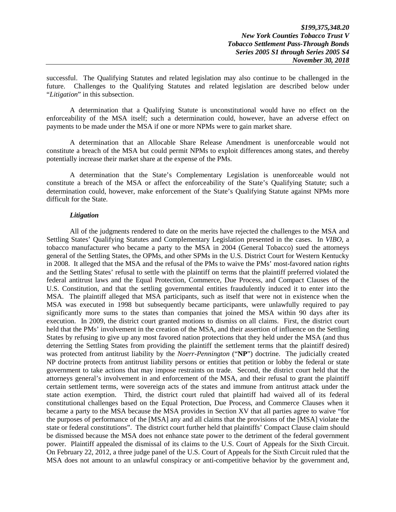successful. The Qualifying Statutes and related legislation may also continue to be challenged in the future. Challenges to the Qualifying Statutes and related legislation are described below under "*Litigation*" in this subsection.

A determination that a Qualifying Statute is unconstitutional would have no effect on the enforceability of the MSA itself; such a determination could, however, have an adverse effect on payments to be made under the MSA if one or more NPMs were to gain market share.

A determination that an Allocable Share Release Amendment is unenforceable would not constitute a breach of the MSA but could permit NPMs to exploit differences among states, and thereby potentially increase their market share at the expense of the PMs.

A determination that the State's Complementary Legislation is unenforceable would not constitute a breach of the MSA or affect the enforceability of the State's Qualifying Statute; such a determination could, however, make enforcement of the State's Qualifying Statute against NPMs more difficult for the State.

#### *Litigation*

All of the judgments rendered to date on the merits have rejected the challenges to the MSA and Settling States' Qualifying Statutes and Complementary Legislation presented in the cases. In *VIBO*, a tobacco manufacturer who became a party to the MSA in 2004 (General Tobacco) sued the attorneys general of the Settling States, the OPMs, and other SPMs in the U.S. District Court for Western Kentucky in 2008. It alleged that the MSA and the refusal of the PMs to waive the PMs' most-favored nation rights and the Settling States' refusal to settle with the plaintiff on terms that the plaintiff preferred violated the federal antitrust laws and the Equal Protection, Commerce, Due Process, and Compact Clauses of the U.S. Constitution, and that the settling governmental entities fraudulently induced it to enter into the MSA. The plaintiff alleged that MSA participants, such as itself that were not in existence when the MSA was executed in 1998 but subsequently became participants, were unlawfully required to pay significantly more sums to the states than companies that joined the MSA within 90 days after its execution. In 2009, the district court granted motions to dismiss on all claims. First, the district court held that the PMs' involvement in the creation of the MSA, and their assertion of influence on the Settling States by refusing to give up any most favored nation protections that they held under the MSA (and thus deterring the Settling States from providing the plaintiff the settlement terms that the plaintiff desired) was protected from antitrust liability by the *Noerr-Pennington* ("**NP**") doctrine. The judicially created NP doctrine protects from antitrust liability persons or entities that petition or lobby the federal or state government to take actions that may impose restraints on trade. Second, the district court held that the attorneys general's involvement in and enforcement of the MSA, and their refusal to grant the plaintiff certain settlement terms, were sovereign acts of the states and immune from antitrust attack under the state action exemption. Third, the district court ruled that plaintiff had waived all of its federal constitutional challenges based on the Equal Protection, Due Process, and Commerce Clauses when it became a party to the MSA because the MSA provides in Section XV that all parties agree to waive "for the purposes of performance of the [MSA] any and all claims that the provisions of the [MSA] violate the state or federal constitutions". The district court further held that plaintiffs' Compact Clause claim should be dismissed because the MSA does not enhance state power to the detriment of the federal government power. Plaintiff appealed the dismissal of its claims to the U.S. Court of Appeals for the Sixth Circuit. On February 22, 2012, a three judge panel of the U.S. Court of Appeals for the Sixth Circuit ruled that the MSA does not amount to an unlawful conspiracy or anti-competitive behavior by the government and,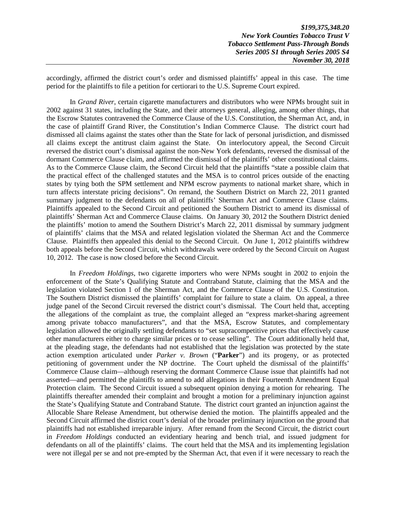accordingly, affirmed the district court's order and dismissed plaintiffs' appeal in this case. The time period for the plaintiffs to file a petition for certiorari to the U.S. Supreme Court expired.

In *Grand River*, certain cigarette manufacturers and distributors who were NPMs brought suit in 2002 against 31 states, including the State, and their attorneys general, alleging, among other things, that the Escrow Statutes contravened the Commerce Clause of the U.S. Constitution, the Sherman Act, and, in the case of plaintiff Grand River, the Constitution's Indian Commerce Clause. The district court had dismissed all claims against the states other than the State for lack of personal jurisdiction, and dismissed all claims except the antitrust claim against the State. On interlocutory appeal, the Second Circuit reversed the district court's dismissal against the non-New York defendants, reversed the dismissal of the dormant Commerce Clause claim, and affirmed the dismissal of the plaintiffs' other constitutional claims. As to the Commerce Clause claim, the Second Circuit held that the plaintiffs "state a possible claim that the practical effect of the challenged statutes and the MSA is to control prices outside of the enacting states by tying both the SPM settlement and NPM escrow payments to national market share, which in turn affects interstate pricing decisions". On remand, the Southern District on March 22, 2011 granted summary judgment to the defendants on all of plaintiffs' Sherman Act and Commerce Clause claims. Plaintiffs appealed to the Second Circuit and petitioned the Southern District to amend its dismissal of plaintiffs' Sherman Act and Commerce Clause claims. On January 30, 2012 the Southern District denied the plaintiffs' motion to amend the Southern District's March 22, 2011 dismissal by summary judgment of plaintiffs' claims that the MSA and related legislation violated the Sherman Act and the Commerce Clause. Plaintiffs then appealed this denial to the Second Circuit. On June 1, 2012 plaintiffs withdrew both appeals before the Second Circuit, which withdrawals were ordered by the Second Circuit on August 10, 2012. The case is now closed before the Second Circuit.

In *Freedom Holdings*, two cigarette importers who were NPMs sought in 2002 to enjoin the enforcement of the State's Qualifying Statute and Contraband Statute, claiming that the MSA and the legislation violated Section 1 of the Sherman Act, and the Commerce Clause of the U.S. Constitution. The Southern District dismissed the plaintiffs' complaint for failure to state a claim. On appeal, a three judge panel of the Second Circuit reversed the district court's dismissal. The Court held that, accepting the allegations of the complaint as true, the complaint alleged an "express market-sharing agreement among private tobacco manufacturers", and that the MSA, Escrow Statutes, and complementary legislation allowed the originally settling defendants to "set supracompetitive prices that effectively cause other manufacturers either to charge similar prices or to cease selling". The Court additionally held that, at the pleading stage, the defendants had not established that the legislation was protected by the state action exemption articulated under *Parker v. Brown* ("**Parker**") and its progeny, or as protected petitioning of government under the NP doctrine. The Court upheld the dismissal of the plaintiffs' Commerce Clause claim—although reserving the dormant Commerce Clause issue that plaintiffs had not asserted—and permitted the plaintiffs to amend to add allegations in their Fourteenth Amendment Equal Protection claim. The Second Circuit issued a subsequent opinion denying a motion for rehearing. The plaintiffs thereafter amended their complaint and brought a motion for a preliminary injunction against the State's Qualifying Statute and Contraband Statute. The district court granted an injunction against the Allocable Share Release Amendment, but otherwise denied the motion. The plaintiffs appealed and the Second Circuit affirmed the district court's denial of the broader preliminary injunction on the ground that plaintiffs had not established irreparable injury. After remand from the Second Circuit, the district court in *Freedom Holdings* conducted an evidentiary hearing and bench trial, and issued judgment for defendants on all of the plaintiffs' claims. The court held that the MSA and its implementing legislation were not illegal per se and not pre-empted by the Sherman Act, that even if it were necessary to reach the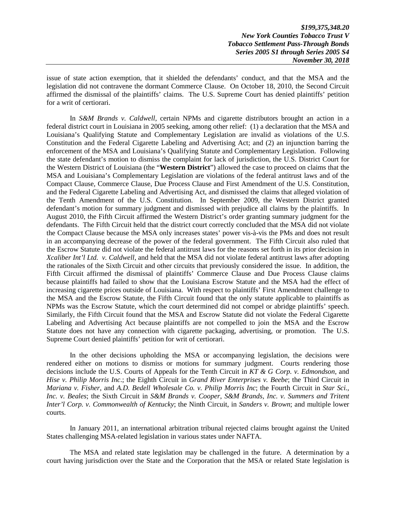*\$199,375,348.20 New York Counties Tobacco Trust V Tobacco Settlement Pass-Through Bonds Series 2005 S1 through Series 2005 S4 November 30, 2018* 

issue of state action exemption, that it shielded the defendants' conduct, and that the MSA and the legislation did not contravene the dormant Commerce Clause. On October 18, 2010, the Second Circuit affirmed the dismissal of the plaintiffs' claims. The U.S. Supreme Court has denied plaintiffs' petition for a writ of certiorari.

In *S&M Brands v. Caldwell*, certain NPMs and cigarette distributors brought an action in a federal district court in Louisiana in 2005 seeking, among other relief: (1) a declaration that the MSA and Louisiana's Qualifying Statute and Complementary Legislation are invalid as violations of the U.S. Constitution and the Federal Cigarette Labeling and Advertising Act; and (2) an injunction barring the enforcement of the MSA and Louisiana's Qualifying Statute and Complementary Legislation. Following the state defendant's motion to dismiss the complaint for lack of jurisdiction, the U.S. District Court for the Western District of Louisiana (the "**Western District**") allowed the case to proceed on claims that the MSA and Louisiana's Complementary Legislation are violations of the federal antitrust laws and of the Compact Clause, Commerce Clause, Due Process Clause and First Amendment of the U.S. Constitution, and the Federal Cigarette Labeling and Advertising Act, and dismissed the claims that alleged violation of the Tenth Amendment of the U.S. Constitution. In September 2009, the Western District granted defendant's motion for summary judgment and dismissed with prejudice all claims by the plaintiffs. In August 2010, the Fifth Circuit affirmed the Western District's order granting summary judgment for the defendants. The Fifth Circuit held that the district court correctly concluded that the MSA did not violate the Compact Clause because the MSA only increases states' power vis-à-vis the PMs and does not result in an accompanying decrease of the power of the federal government. The Fifth Circuit also ruled that the Escrow Statute did not violate the federal antitrust laws for the reasons set forth in its prior decision in *Xcaliber Int'l Ltd. v. Caldwell*, and held that the MSA did not violate federal antitrust laws after adopting the rationales of the Sixth Circuit and other circuits that previously considered the issue. In addition, the Fifth Circuit affirmed the dismissal of plaintiffs' Commerce Clause and Due Process Clause claims because plaintiffs had failed to show that the Louisiana Escrow Statute and the MSA had the effect of increasing cigarette prices outside of Louisiana. With respect to plaintiffs' First Amendment challenge to the MSA and the Escrow Statute, the Fifth Circuit found that the only statute applicable to plaintiffs as NPMs was the Escrow Statute, which the court determined did not compel or abridge plaintiffs' speech. Similarly, the Fifth Circuit found that the MSA and Escrow Statute did not violate the Federal Cigarette Labeling and Advertising Act because plaintiffs are not compelled to join the MSA and the Escrow Statute does not have any connection with cigarette packaging, advertising, or promotion. The U.S. Supreme Court denied plaintiffs' petition for writ of certiorari.

In the other decisions upholding the MSA or accompanying legislation, the decisions were rendered either on motions to dismiss or motions for summary judgment. Courts rendering those decisions include the U.S. Courts of Appeals for the Tenth Circuit in *KT & G Corp. v. Edmondson*, and *Hise v. Philip Morris Inc*.; the Eighth Circuit in *Grand River Enterprises v. Beebe*; the Third Circuit in *Mariana v. Fisher*, and *A.D. Bedell Wholesale Co. v. Philip Morris Inc*; the Fourth Circuit in *Star Sci., Inc. v. Beales*; the Sixth Circuit in *S&M Brands v. Cooper*, *S&M Brands, Inc. v. Summers and Tritent Inter'l Corp. v. Commonwealth of Kentucky*; the Ninth Circuit, in *Sanders v. Brown*; and multiple lower courts.

In January 2011, an international arbitration tribunal rejected claims brought against the United States challenging MSA-related legislation in various states under NAFTA.

The MSA and related state legislation may be challenged in the future. A determination by a court having jurisdiction over the State and the Corporation that the MSA or related State legislation is